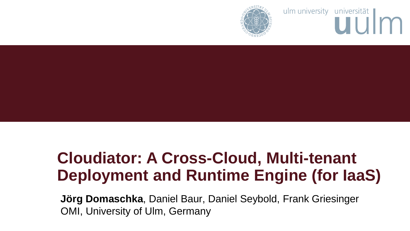ulm university universität



# **Cloudiator: A Cross-Cloud, Multi-tenant Deployment and Runtime Engine (for IaaS)**

**Jörg Domaschka**, Daniel Baur, Daniel Seybold, Frank Griesinger OMI, University of Ulm, Germany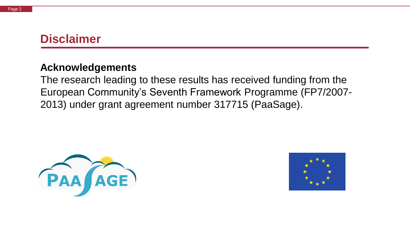#### **Disclaimer**

#### **Acknowledgements**

The research leading to these results has received funding from the European Community's Seventh Framework Programme (FP7/2007- 2013) under grant agreement number 317715 (PaaSage).



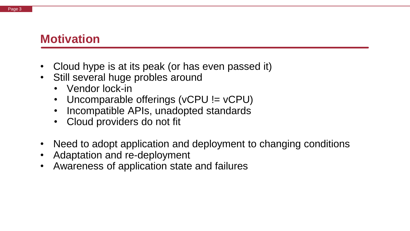#### **Motivation**

- Cloud hype is at its peak (or has even passed it)
- Still several huge probles around
	- Vendor lock-in
	- Uncomparable offerings (vCPU != vCPU)
	- Incompatible APIs, unadopted standards
	- Cloud providers do not fit
- Need to adopt application and deployment to changing conditions
- Adaptation and re-deployment
- Awareness of application state and failures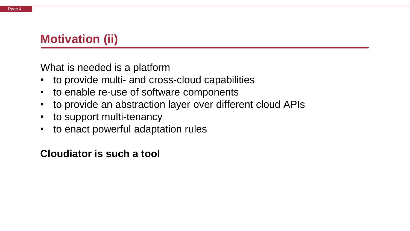## **Motivation (ii)**

What is needed is a platform

- to provide multi- and cross-cloud capabilities
- to enable re-use of software components
- to provide an abstraction layer over different cloud APIs
- to support multi-tenancy
- to enact powerful adaptation rules

#### **Cloudiator is such a tool**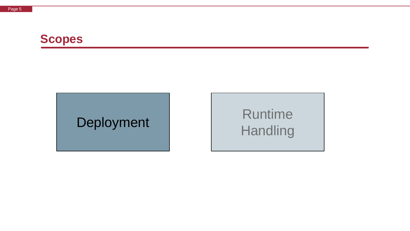

# Deployment Runtime **Handling**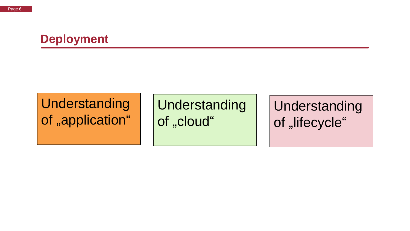## **Deployment**

# **Understanding** of "application"

Understanding of "cloud"

Understanding of "lifecycle"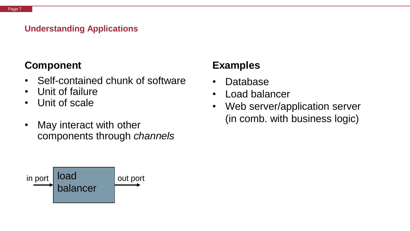#### **Understanding Applications**

#### **Component**

- Self-contained chunk of software
- Unit of failure
- Unit of scale
- May interact with other components through *channels*



#### **Examples**

- Database
- Load balancer
- Web server/application server (in comb. with business logic)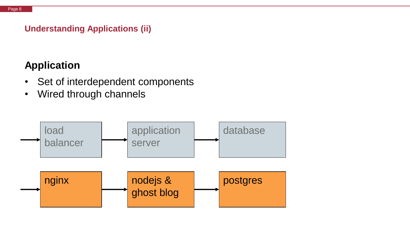#### **Understanding Applications (ii)**

#### **Application**

- Set of interdependent components
- Wired through channels

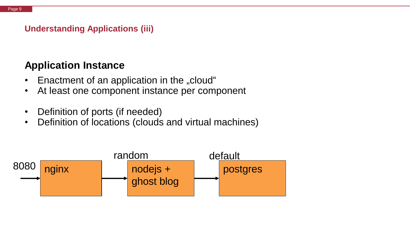#### **Understanding Applications (iii)**

#### **Application Instance**

- Enactment of an application in the "cloud"
- At least one component instance per component
- Definition of ports (if needed)
- Definition of locations (clouds and virtual machines)

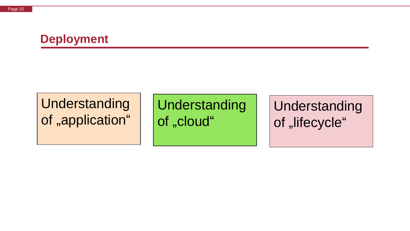#### **Deployment**

# Understanding of "application"

Understanding of "cloud"

Understanding of "lifecycle"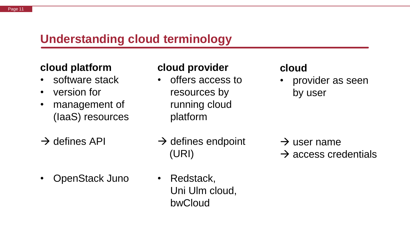#### **Understanding cloud terminology**

#### **cloud platform**

- software stack
- version for
- management of (IaaS) resources
- $\rightarrow$  defines API

• OpenStack Juno

#### **cloud provider**

• offers access to resources by running cloud platform

#### **cloud**

• provider as seen by user

- $\rightarrow$  defines endpoint (URI)
- Redstack, Uni Ulm cloud, bwCloud

 $\rightarrow$  user name  $\rightarrow$  access credentials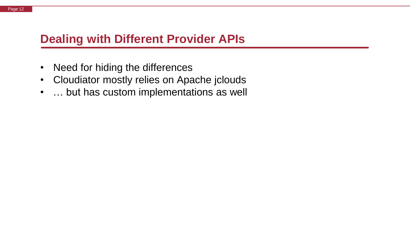#### **Dealing with Different Provider APIs**

- Need for hiding the differences
- Cloudiator mostly relies on Apache jclouds
- … but has custom implementations as well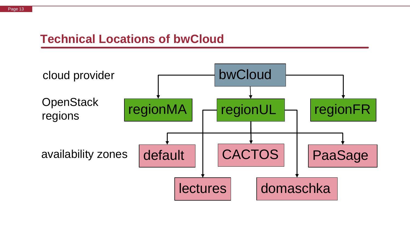#### **Technical Locations of bwCloud**

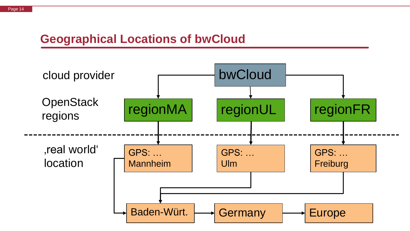#### **Geographical Locations of bwCloud**

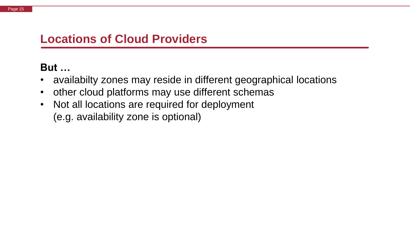## **Locations of Cloud Providers**

## **But …**

- availabilty zones may reside in different geographical locations
- other cloud platforms may use different schemas
- Not all locations are required for deployment (e.g. availability zone is optional)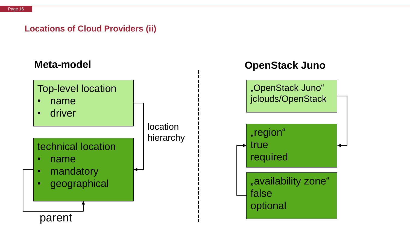#### **Locations of Cloud Providers (ii)**



- name
- driver



## **Meta-model OpenStack Juno**



#### technical location • name

- mandatory
- **geographical**

parent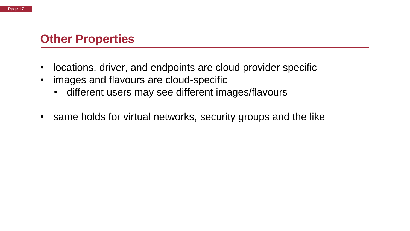#### **Other Properties**

- locations, driver, and endpoints are cloud provider specific
- images and flavours are cloud-specific
	- different users may see different images/flavours
- same holds for virtual networks, security groups and the like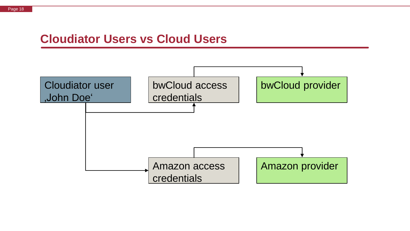#### Page 18

#### **Cloudiator Users vs Cloud Users**

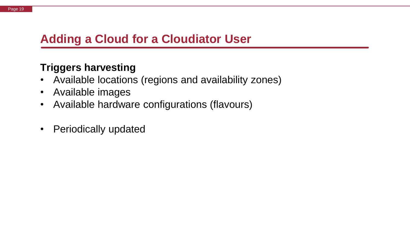#### **Adding a Cloud for a Cloudiator User**

#### **Triggers harvesting**

- Available locations (regions and availability zones)
- Available images
- Available hardware configurations (flavours)
- Periodically updated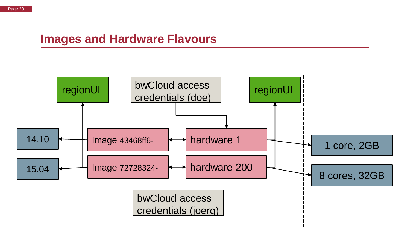#### **Images and Hardware Flavours**

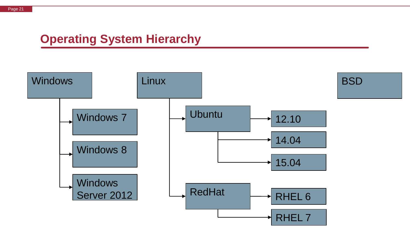## **Operating System Hierarchy**

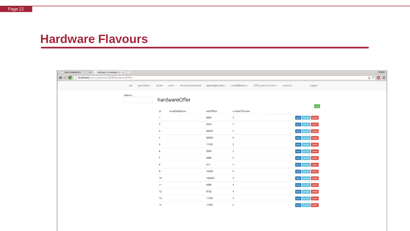#### **Hardware Flavours**

| $\mathbf{x} \in \mathbb{R}$ Welcome to PaaSage Exe $\mathbf{x} \in \mathbb{R}$<br>ExecutionWareUI |                                                                                                                    |                |         |                         |  |                         | <b>Deniel</b>      |
|---------------------------------------------------------------------------------------------------|--------------------------------------------------------------------------------------------------------------------|----------------|---------|-------------------------|--|-------------------------|--------------------|
| $\Leftrightarrow$ $\blacksquare$<br>localhost/executionwareUI/#/hardwareOffer                     |                                                                                                                    |                |         |                         |  |                         | $\bullet$ =<br>☆ 〒 |
|                                                                                                   | api application v cloud v user v lifecycleComponent operatingSystem virtualMachine v SRLEngine monitors v monitors |                |         |                         |  | Logout                  |                    |
| Search:                                                                                           |                                                                                                                    |                |         |                         |  |                         |                    |
|                                                                                                   | hardwareOffer                                                                                                      |                |         |                         |  |                         |                    |
|                                                                                                   |                                                                                                                    |                |         |                         |  | new                     |                    |
|                                                                                                   | id                                                                                                                 | localDiskSpace | mbOfRam | numberOfCores           |  |                         |                    |
|                                                                                                   | $\mathbf{1}$                                                                                                       |                | 5000    | $\overline{1}$          |  | read<br>delete<br>pdate |                    |
|                                                                                                   | $\overline{2}$                                                                                                     |                | 2048    | $\overline{1}$          |  | delete<br>read          |                    |
|                                                                                                   | 3                                                                                                                  |                | 50000   | $\overline{1}$          |  | delete<br>ead           |                    |
|                                                                                                   | 4                                                                                                                  |                | 50000   | 8                       |  | delete<br>read          |                    |
|                                                                                                   | 5                                                                                                                  |                | 17450   | $\overline{2}$          |  | delete<br>read<br>pdate |                    |
|                                                                                                   | 6                                                                                                                  |                | 2048    | $\overline{2}$          |  | read<br>delete          |                    |
|                                                                                                   | $\overline{7}$                                                                                                     |                | 4096    | $\overline{2}$          |  | delete<br>read<br>pdate |                    |
|                                                                                                   | 8                                                                                                                  |                | 512     | $\overline{1}$          |  | delete<br>read          |                    |
|                                                                                                   | 9                                                                                                                  |                | 16384   | $\delta$                |  | delete<br>read          |                    |
|                                                                                                   | 10                                                                                                                 |                | 102400  | $\overline{1}$          |  | read<br>delete          |                    |
|                                                                                                   | 11                                                                                                                 |                | 4096    | $\overline{4}$          |  | read<br>delete          |                    |
|                                                                                                   | 12                                                                                                                 |                | 8192    | $\overline{4}$          |  | read<br>delete<br>pdate |                    |
|                                                                                                   | 13                                                                                                                 |                | 17450   | $\overline{1}$          |  | delete<br>read          |                    |
|                                                                                                   | 14                                                                                                                 |                | 17450   | $\overline{\mathbf{3}}$ |  | delete<br>read<br>pdate |                    |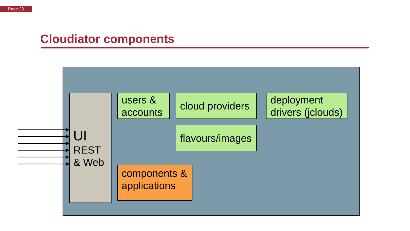#### **Cloudiator components**

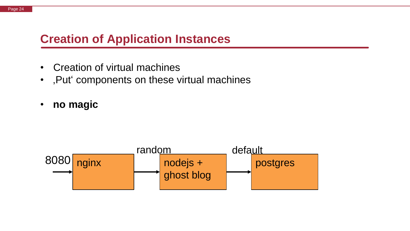#### **Creation of Application Instances**

- Creation of virtual machines
- , Put components on these virtual machines
- **no magic**

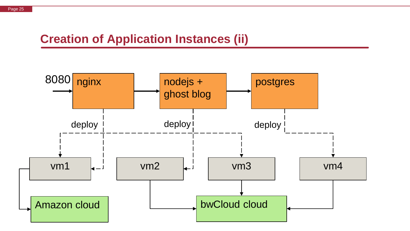#### **Creation of Application Instances (ii)**

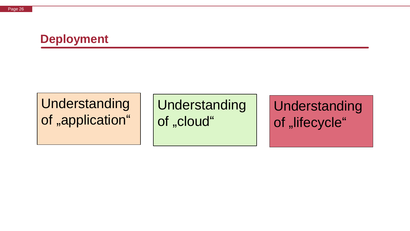#### **Deployment**

# Understanding of "application"

Understanding of "cloud"

Understanding of "lifecycle"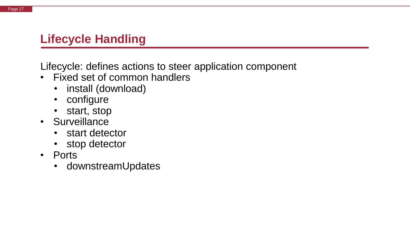### **Lifecycle Handling**

Lifecycle: defines actions to steer application component

- Fixed set of common handlers
	- install (download)
	- configure
	- start, stop
- Surveillance
	- start detector
	- stop detector
- Ports
	- downstreamUpdates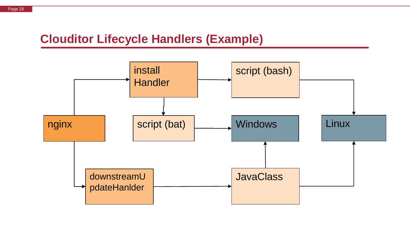### **Clouditor Lifecycle Handlers (Example)**

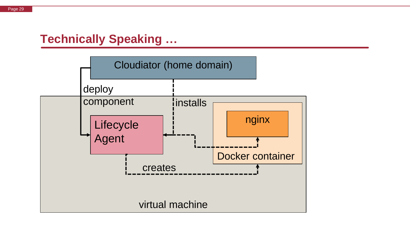#### **Technically Speaking …**

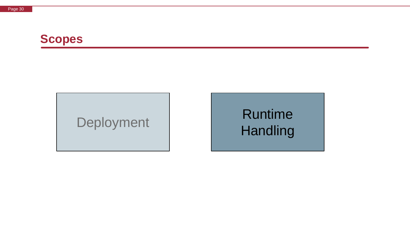

# Deployment Runtime **Handling**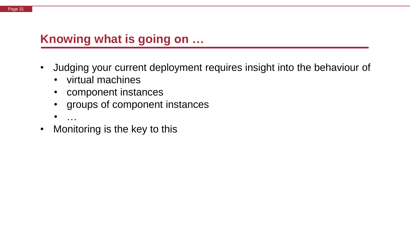#### **Knowing what is going on …**

- Judging your current deployment requires insight into the behaviour of
	- virtual machines
	- component instances
	- groups of component instances
	- $\bullet$  ……
- Monitoring is the key to this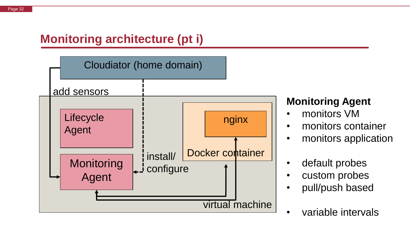## **Monitoring architecture (pt i)**



#### **Monitoring Agent**

- monitors VM
- monitors container
- monitors application
- default probes
- custom probes
- pull/push based
- variable intervals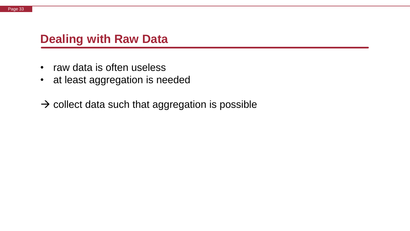#### **Dealing with Raw Data**

- raw data is often useless
- at least aggregation is needed
- $\rightarrow$  collect data such that aggregation is possible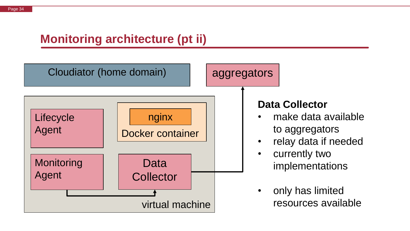## **Monitoring architecture (pt ii)**

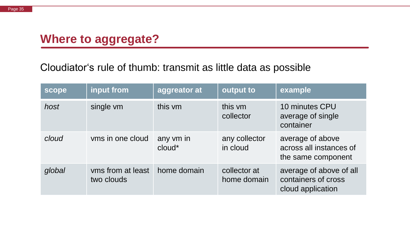#### **Where to aggregate?**

#### Cloudiator's rule of thumb: transmit as little data as possible

| scope  | input from                      | aggreator at        | output to                   | example                                                             |
|--------|---------------------------------|---------------------|-----------------------------|---------------------------------------------------------------------|
| host   | single vm                       | this vm             | this vm<br>collector        | 10 minutes CPU<br>average of single<br>container                    |
| cloud  | vms in one cloud                | any vm in<br>cloud* | any collector<br>in cloud   | average of above<br>across all instances of<br>the same component   |
| global | vms from at least<br>two clouds | home domain         | collector at<br>home domain | average of above of all<br>containers of cross<br>cloud application |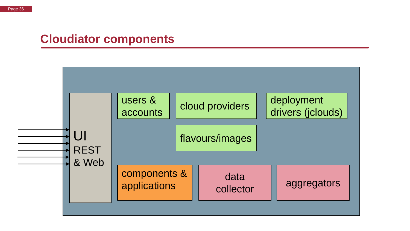#### **Cloudiator components**

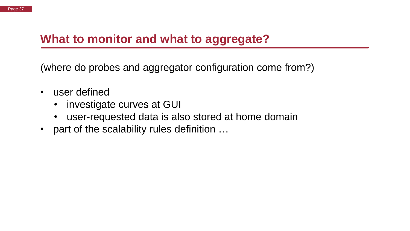### **What to monitor and what to aggregate?**

(where do probes and aggregator configuration come from?)

- user defined
	- investigate curves at GUI
	- user-requested data is also stored at home domain
- part of the scalability rules definition ...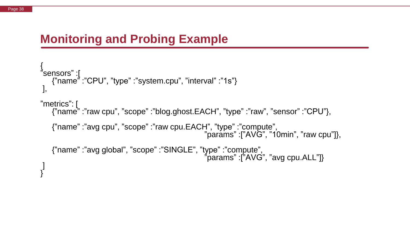#### **Monitoring and Probing Example**

```
{
"sensors" :[
   {"name" :"CPU", "type" :"system.cpu", "interval" :"1s"}
],
"metrics": [
   etncs . <sub>L</sub><br>{"name" :"raw cpu", "scope" :"blog.ghost.EACH", "type" :"raw", "sensor" :"CPU"},
   {"name" :"avg cpu", "scope" :"raw cpu.EACH", "type" :"compute",
                                                   "params" :["AVG", "10min", "raw cpu"]},
   {"name" :"avg global", "scope" :"SINGLE", "type" :"compute", 
                                                   "params" :["AVG", "avg cpu.ALL"]}
]
}
```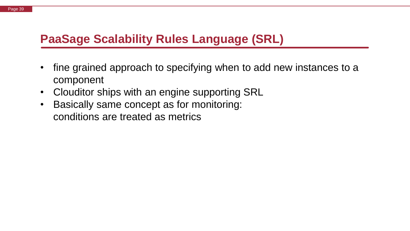## **PaaSage Scalability Rules Language (SRL)**

- fine grained approach to specifying when to add new instances to a component
- Clouditor ships with an engine supporting SRL
- Basically same concept as for monitoring: conditions are treated as metrics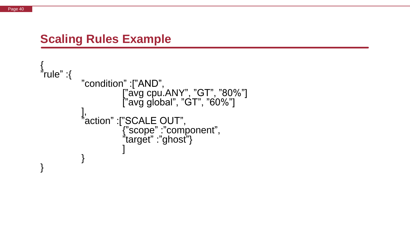#### **Scaling Rules Example**

```
{
"rule" :{
         "condition" :["AND",
                    ["avg cpu.ANY", "GT", "80%"]
                    ["avg global", "GT", "60%"]
          ], 
          "action" :["SCALE OUT",
                    {"scope" :"component",
                    "target" :"ghost"}
                    ]
          }
}
```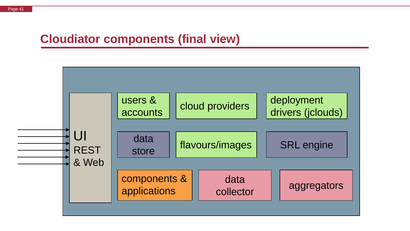#### **Cloudiator components (final view)**

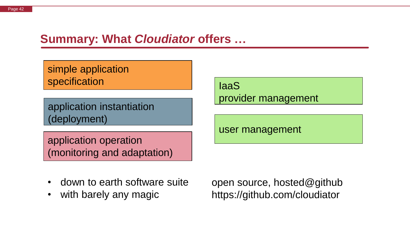#### **Summary: What** *Cloudiator* **offers …**

simple application specification

application instantiation (deployment)

application operation (monitoring and adaptation)

IaaS provider management

user management

- down to earth software suite
- with barely any magic

open source, hosted@github https://github.com/cloudiator